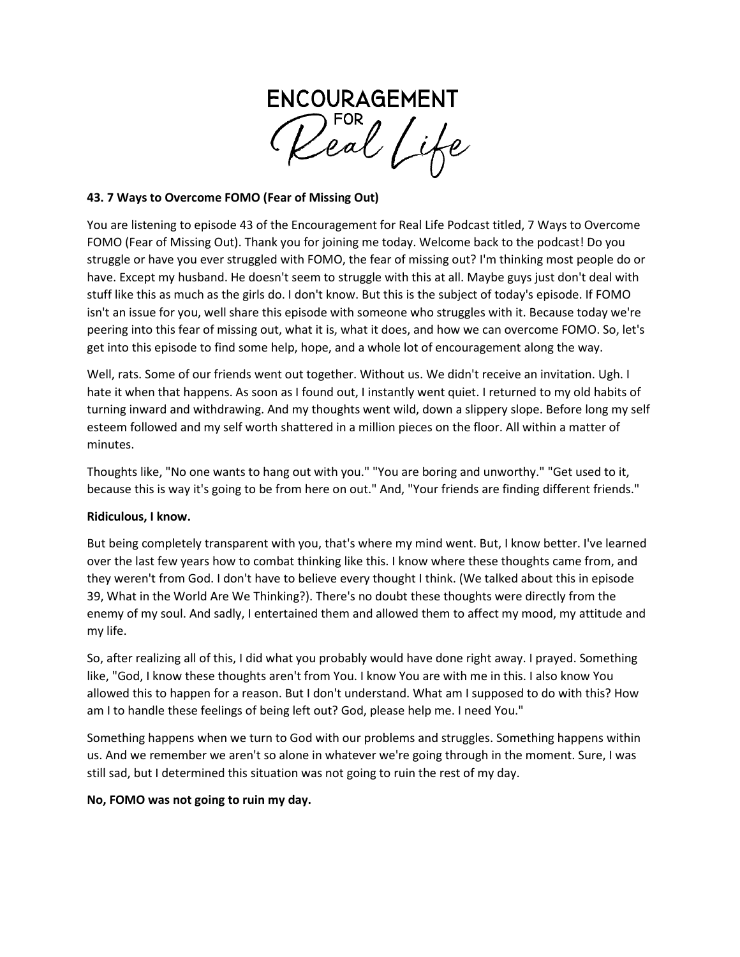

## **43. 7 Ways to Overcome FOMO (Fear of Missing Out)**

You are listening to episode 43 of the Encouragement for Real Life Podcast titled, 7 Ways to Overcome FOMO (Fear of Missing Out). Thank you for joining me today. Welcome back to the podcast! Do you struggle or have you ever struggled with FOMO, the fear of missing out? I'm thinking most people do or have. Except my husband. He doesn't seem to struggle with this at all. Maybe guys just don't deal with stuff like this as much as the girls do. I don't know. But this is the subject of today's episode. If FOMO isn't an issue for you, well share this episode with someone who struggles with it. Because today we're peering into this fear of missing out, what it is, what it does, and how we can overcome FOMO. So, let's get into this episode to find some help, hope, and a whole lot of encouragement along the way.

Well, rats. Some of our friends went out together. Without us. We didn't receive an invitation. Ugh. I hate it when that happens. As soon as I found out, I instantly went quiet. I returned to my old habits of turning inward and withdrawing. And my thoughts went wild, down a slippery slope. Before long my self esteem followed and my self worth shattered in a million pieces on the floor. All within a matter of minutes.

Thoughts like, "No one wants to hang out with you." "You are boring and unworthy." "Get used to it, because this is way it's going to be from here on out." And, "Your friends are finding different friends."

## **Ridiculous, I know.**

But being completely transparent with you, that's where my mind went. But, I know better. I've learned over the last few years how to combat thinking like this. I know where these thoughts came from, and they weren't from God. I don't have to believe every thought I think. (We talked about this in episode 39, What in the World Are We Thinking?). There's no doubt these thoughts were directly from the enemy of my soul. And sadly, I entertained them and allowed them to affect my mood, my attitude and my life.

So, after realizing all of this, I did what you probably would have done right away. I prayed. Something like, "God, I know these thoughts aren't from You. I know You are with me in this. I also know You allowed this to happen for a reason. But I don't understand. What am I supposed to do with this? How am I to handle these feelings of being left out? God, please help me. I need You."

Something happens when we turn to God with our problems and struggles. Something happens within us. And we remember we aren't so alone in whatever we're going through in the moment. Sure, I was still sad, but I determined this situation was not going to ruin the rest of my day.

## **No, FOMO was not going to ruin my day.**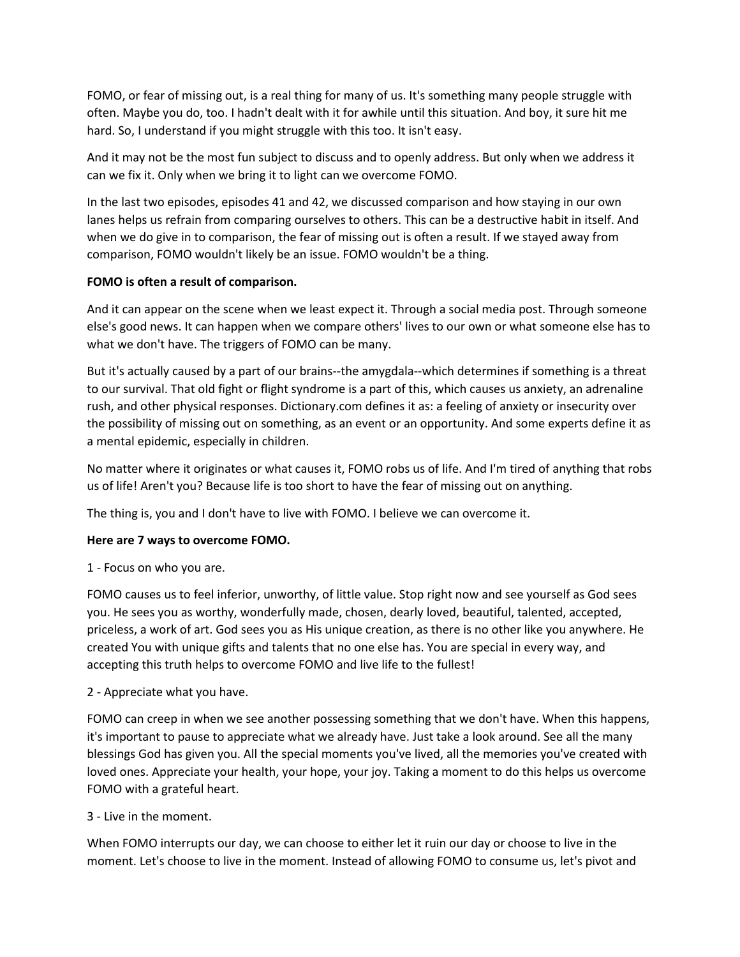FOMO, or fear of missing out, is a real thing for many of us. It's something many people struggle with often. Maybe you do, too. I hadn't dealt with it for awhile until this situation. And boy, it sure hit me hard. So, I understand if you might struggle with this too. It isn't easy.

And it may not be the most fun subject to discuss and to openly address. But only when we address it can we fix it. Only when we bring it to light can we overcome FOMO.

In the last two episodes, episodes 41 and 42, we discussed comparison and how staying in our own lanes helps us refrain from comparing ourselves to others. This can be a destructive habit in itself. And when we do give in to comparison, the fear of missing out is often a result. If we stayed away from comparison, FOMO wouldn't likely be an issue. FOMO wouldn't be a thing.

## **FOMO is often a result of comparison.**

And it can appear on the scene when we least expect it. Through a social media post. Through someone else's good news. It can happen when we compare others' lives to our own or what someone else has to what we don't have. The triggers of FOMO can be many.

But it's actually caused by a part of our brains--the amygdala--which determines if something is a threat to our survival. That old fight or flight syndrome is a part of this, which causes us anxiety, an adrenaline rush, and other physical responses. Dictionary.com defines it as: a feeling of anxiety or insecurity over the possibility of missing out on something, as an event or an opportunity. And some experts define it as a mental epidemic, especially in children.

No matter where it originates or what causes it, FOMO robs us of life. And I'm tired of anything that robs us of life! Aren't you? Because life is too short to have the fear of missing out on anything.

The thing is, you and I don't have to live with FOMO. I believe we can overcome it.

# **Here are 7 ways to overcome FOMO.**

1 - Focus on who you are.

FOMO causes us to feel inferior, unworthy, of little value. Stop right now and see yourself as God sees you. He sees you as worthy, wonderfully made, chosen, dearly loved, beautiful, talented, accepted, priceless, a work of art. God sees you as His unique creation, as there is no other like you anywhere. He created You with unique gifts and talents that no one else has. You are special in every way, and accepting this truth helps to overcome FOMO and live life to the fullest!

# 2 - Appreciate what you have.

FOMO can creep in when we see another possessing something that we don't have. When this happens, it's important to pause to appreciate what we already have. Just take a look around. See all the many blessings God has given you. All the special moments you've lived, all the memories you've created with loved ones. Appreciate your health, your hope, your joy. Taking a moment to do this helps us overcome FOMO with a grateful heart.

## 3 - Live in the moment.

When FOMO interrupts our day, we can choose to either let it ruin our day or choose to live in the moment. Let's choose to live in the moment. Instead of allowing FOMO to consume us, let's pivot and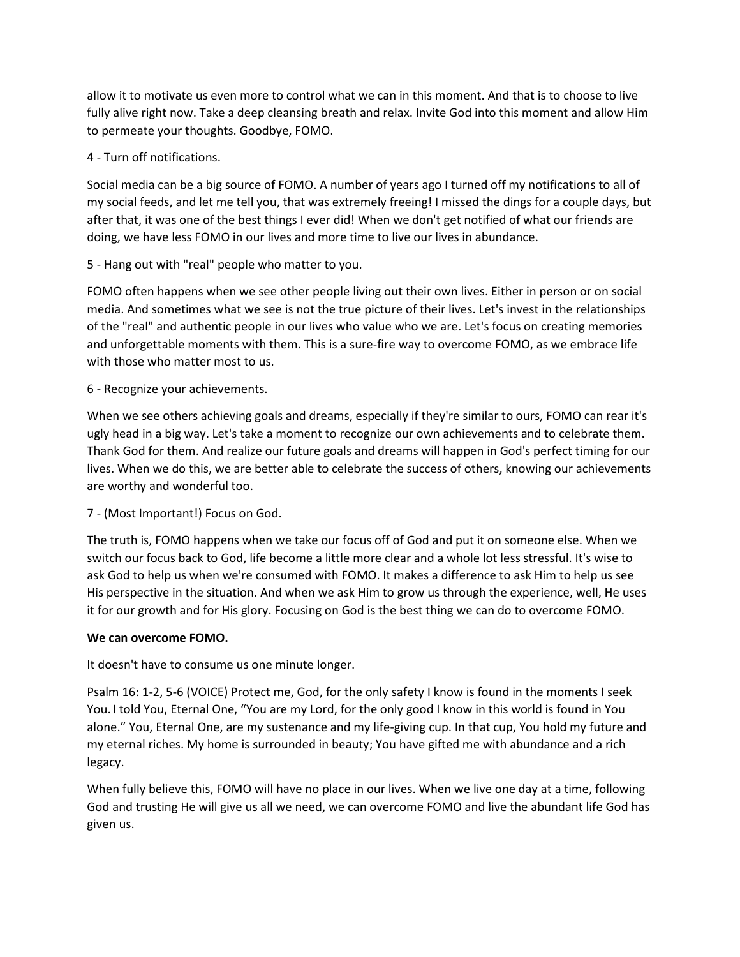allow it to motivate us even more to control what we can in this moment. And that is to choose to live fully alive right now. Take a deep cleansing breath and relax. Invite God into this moment and allow Him to permeate your thoughts. Goodbye, FOMO.

# 4 - Turn off notifications.

Social media can be a big source of FOMO. A number of years ago I turned off my notifications to all of my social feeds, and let me tell you, that was extremely freeing! I missed the dings for a couple days, but after that, it was one of the best things I ever did! When we don't get notified of what our friends are doing, we have less FOMO in our lives and more time to live our lives in abundance.

5 - Hang out with "real" people who matter to you.

FOMO often happens when we see other people living out their own lives. Either in person or on social media. And sometimes what we see is not the true picture of their lives. Let's invest in the relationships of the "real" and authentic people in our lives who value who we are. Let's focus on creating memories and unforgettable moments with them. This is a sure-fire way to overcome FOMO, as we embrace life with those who matter most to us.

6 - Recognize your achievements.

When we see others achieving goals and dreams, especially if they're similar to ours, FOMO can rear it's ugly head in a big way. Let's take a moment to recognize our own achievements and to celebrate them. Thank God for them. And realize our future goals and dreams will happen in God's perfect timing for our lives. When we do this, we are better able to celebrate the success of others, knowing our achievements are worthy and wonderful too.

7 - (Most Important!) Focus on God.

The truth is, FOMO happens when we take our focus off of God and put it on someone else. When we switch our focus back to God, life become a little more clear and a whole lot less stressful. It's wise to ask God to help us when we're consumed with FOMO. It makes a difference to ask Him to help us see His perspective in the situation. And when we ask Him to grow us through the experience, well, He uses it for our growth and for His glory. Focusing on God is the best thing we can do to overcome FOMO.

## **We can overcome FOMO.**

It doesn't have to consume us one minute longer.

Psalm 16: 1-2, 5-6 (VOICE) Protect me, God, for the only safety I know is found in the moments I seek You. I told You, Eternal One, "You are my Lord, for the only good I know in this world is found in You alone." You, Eternal One, are my sustenance and my life-giving cup. In that cup, You hold my future and my eternal riches. My home is surrounded in beauty; You have gifted me with abundance and a rich legacy.

When fully believe this, FOMO will have no place in our lives. When we live one day at a time, following God and trusting He will give us all we need, we can overcome FOMO and live the abundant life God has given us.